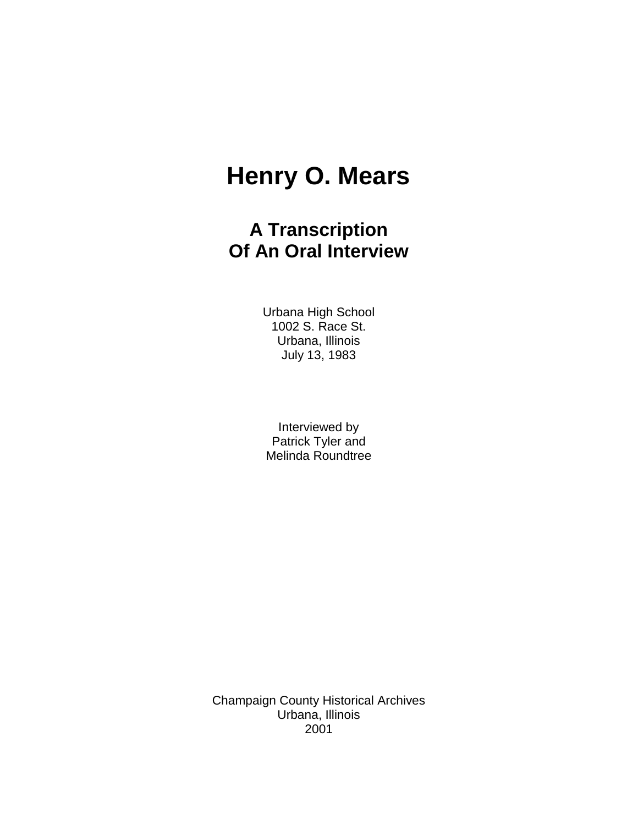# **Henry O. Mears**

## **A Transcription Of An Oral Interview**

Urbana High School 1002 S. Race St. Urbana, Illinois July 13, 1983

Interviewed by Patrick Tyler and Melinda Roundtree

Champaign County Historical Archives Urbana, Illinois 2001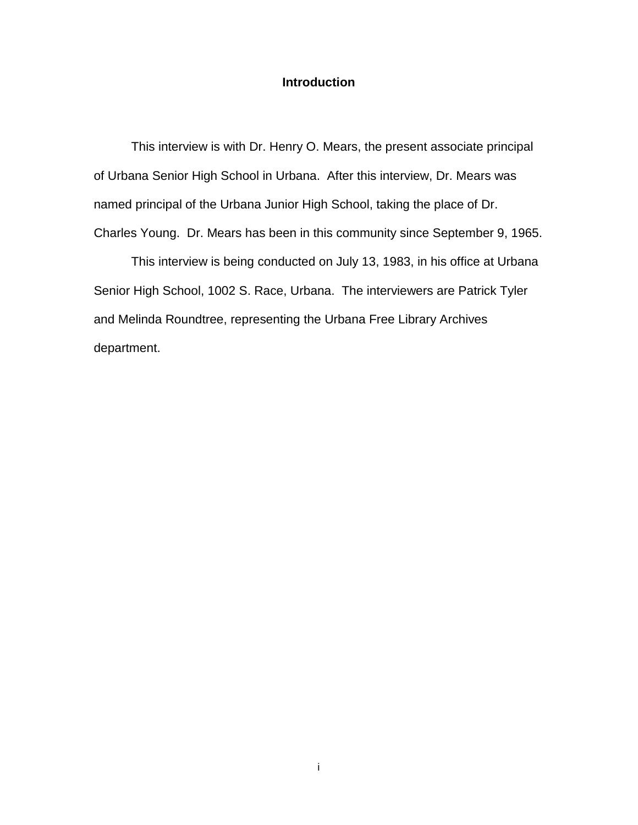#### **Introduction**

This interview is with Dr. Henry O. Mears, the present associate principal of Urbana Senior High School in Urbana. After this interview, Dr. Mears was named principal of the Urbana Junior High School, taking the place of Dr. Charles Young. Dr. Mears has been in this community since September 9, 1965.

This interview is being conducted on July 13, 1983, in his office at Urbana Senior High School, 1002 S. Race, Urbana. The interviewers are Patrick Tyler and Melinda Roundtree, representing the Urbana Free Library Archives department.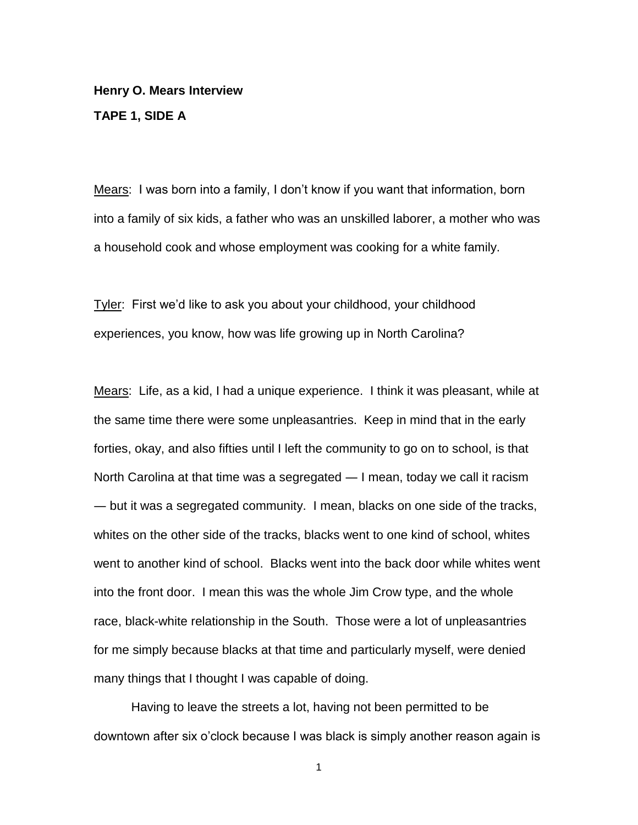**Henry O. Mears Interview TAPE 1, SIDE A**

Mears: I was born into a family, I don"t know if you want that information, born into a family of six kids, a father who was an unskilled laborer, a mother who was a household cook and whose employment was cooking for a white family.

Tyler: First we"d like to ask you about your childhood, your childhood experiences, you know, how was life growing up in North Carolina?

Mears: Life, as a kid, I had a unique experience. I think it was pleasant, while at the same time there were some unpleasantries. Keep in mind that in the early forties, okay, and also fifties until I left the community to go on to school, is that North Carolina at that time was a segregated ― I mean, today we call it racism ― but it was a segregated community. I mean, blacks on one side of the tracks, whites on the other side of the tracks, blacks went to one kind of school, whites went to another kind of school. Blacks went into the back door while whites went into the front door. I mean this was the whole Jim Crow type, and the whole race, black-white relationship in the South. Those were a lot of unpleasantries for me simply because blacks at that time and particularly myself, were denied many things that I thought I was capable of doing.

Having to leave the streets a lot, having not been permitted to be downtown after six o'clock because I was black is simply another reason again is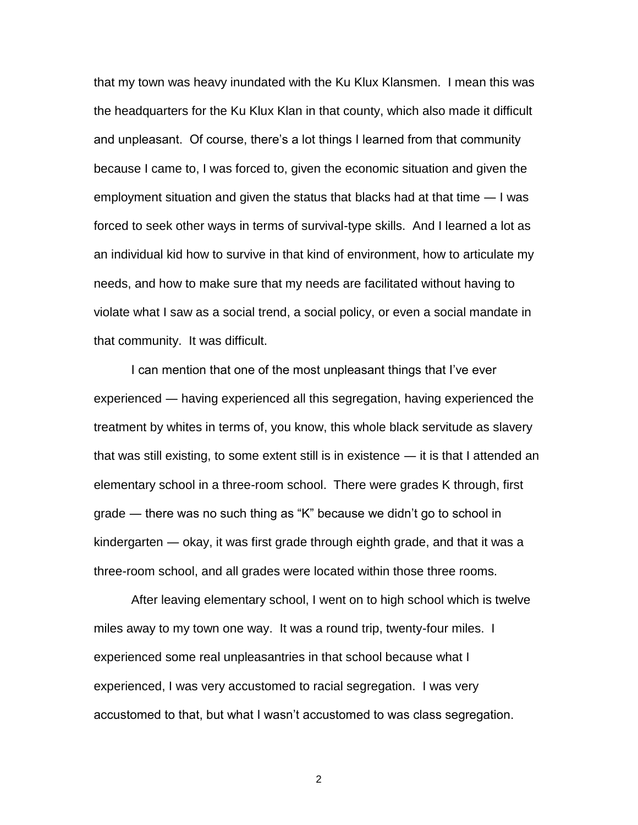that my town was heavy inundated with the Ku Klux Klansmen. I mean this was the headquarters for the Ku Klux Klan in that county, which also made it difficult and unpleasant. Of course, there's a lot things I learned from that community because I came to, I was forced to, given the economic situation and given the employment situation and given the status that blacks had at that time ― I was forced to seek other ways in terms of survival-type skills. And I learned a lot as an individual kid how to survive in that kind of environment, how to articulate my needs, and how to make sure that my needs are facilitated without having to violate what I saw as a social trend, a social policy, or even a social mandate in that community. It was difficult.

I can mention that one of the most unpleasant things that I"ve ever experienced ― having experienced all this segregation, having experienced the treatment by whites in terms of, you know, this whole black servitude as slavery that was still existing, to some extent still is in existence ― it is that I attended an elementary school in a three-room school. There were grades K through, first grade ― there was no such thing as "K" because we didn"t go to school in kindergarten ― okay, it was first grade through eighth grade, and that it was a three-room school, and all grades were located within those three rooms.

After leaving elementary school, I went on to high school which is twelve miles away to my town one way. It was a round trip, twenty-four miles. I experienced some real unpleasantries in that school because what I experienced, I was very accustomed to racial segregation. I was very accustomed to that, but what I wasn"t accustomed to was class segregation.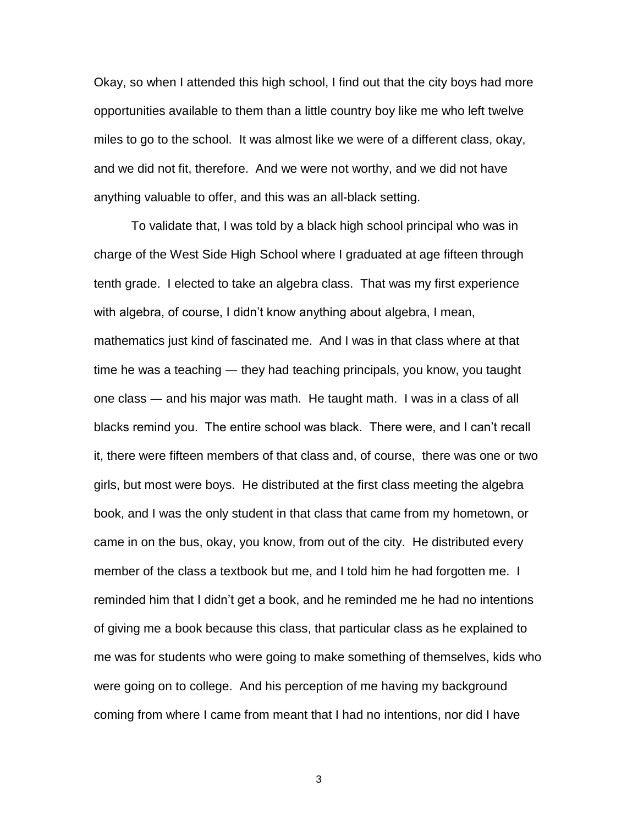Okay, so when I attended this high school, I find out that the city boys had more opportunities available to them than a little country boy like me who left twelve miles to go to the school. It was almost like we were of a different class, okay, and we did not fit, therefore. And we were not worthy, and we did not have anything valuable to offer, and this was an all-black setting.

To validate that, I was told by a black high school principal who was in charge of the West Side High School where I graduated at age fifteen through tenth grade. I elected to take an algebra class. That was my first experience with algebra, of course, I didn"t know anything about algebra, I mean, mathematics just kind of fascinated me. And I was in that class where at that time he was a teaching ― they had teaching principals, you know, you taught one class ― and his major was math. He taught math. I was in a class of all blacks remind you. The entire school was black. There were, and I can"t recall it, there were fifteen members of that class and, of course, there was one or two girls, but most were boys. He distributed at the first class meeting the algebra book, and I was the only student in that class that came from my hometown, or came in on the bus, okay, you know, from out of the city. He distributed every member of the class a textbook but me, and I told him he had forgotten me. I reminded him that I didn"t get a book, and he reminded me he had no intentions of giving me a book because this class, that particular class as he explained to me was for students who were going to make something of themselves, kids who were going on to college. And his perception of me having my background coming from where I came from meant that I had no intentions, nor did I have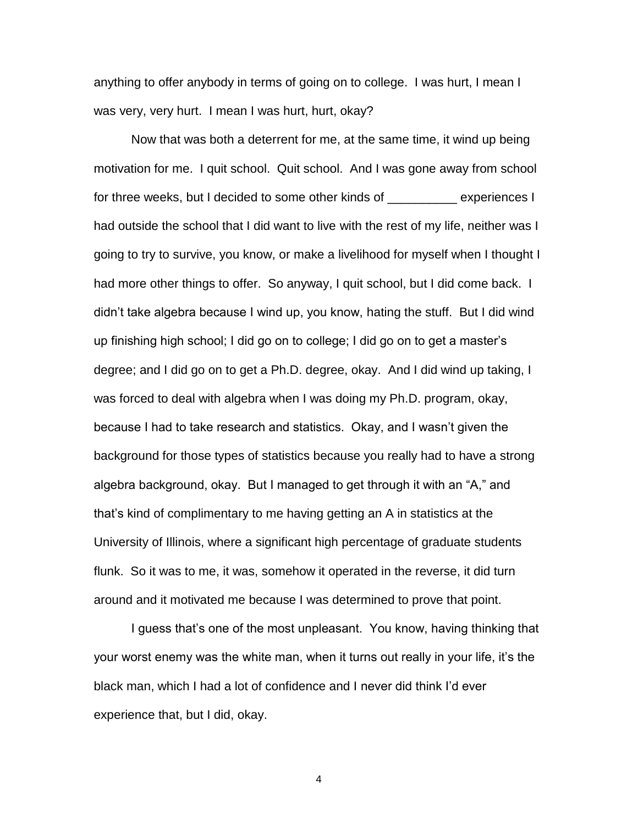anything to offer anybody in terms of going on to college. I was hurt, I mean I was very, very hurt. I mean I was hurt, hurt, okay?

Now that was both a deterrent for me, at the same time, it wind up being motivation for me. I quit school. Quit school. And I was gone away from school for three weeks, but I decided to some other kinds of The assemences I had outside the school that I did want to live with the rest of my life, neither was I going to try to survive, you know, or make a livelihood for myself when I thought I had more other things to offer. So anyway, I quit school, but I did come back. I didn"t take algebra because I wind up, you know, hating the stuff. But I did wind up finishing high school; I did go on to college; I did go on to get a master"s degree; and I did go on to get a Ph.D. degree, okay. And I did wind up taking, I was forced to deal with algebra when I was doing my Ph.D. program, okay, because I had to take research and statistics. Okay, and I wasn"t given the background for those types of statistics because you really had to have a strong algebra background, okay. But I managed to get through it with an "A," and that"s kind of complimentary to me having getting an A in statistics at the University of Illinois, where a significant high percentage of graduate students flunk. So it was to me, it was, somehow it operated in the reverse, it did turn around and it motivated me because I was determined to prove that point.

I guess that"s one of the most unpleasant. You know, having thinking that your worst enemy was the white man, when it turns out really in your life, it"s the black man, which I had a lot of confidence and I never did think I"d ever experience that, but I did, okay.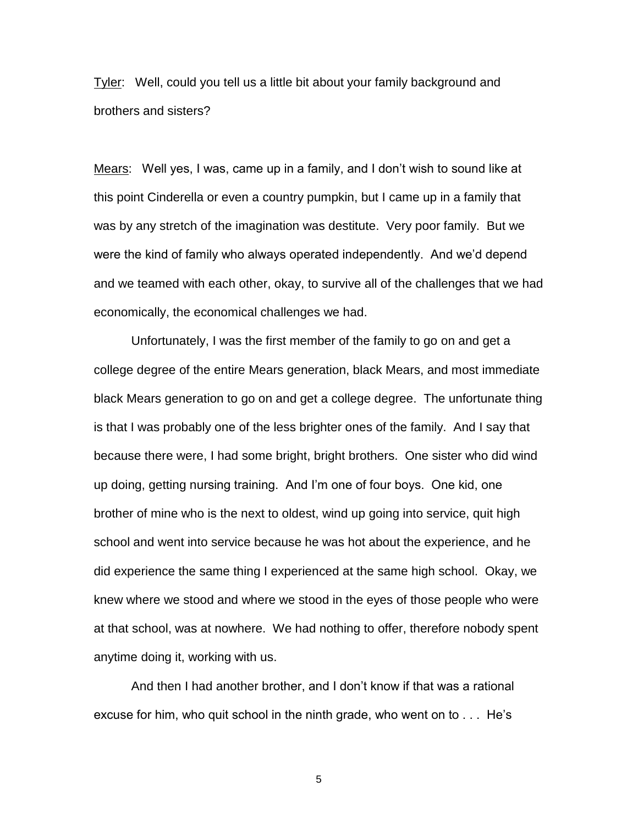Tyler: Well, could you tell us a little bit about your family background and brothers and sisters?

Mears: Well yes, I was, came up in a family, and I don"t wish to sound like at this point Cinderella or even a country pumpkin, but I came up in a family that was by any stretch of the imagination was destitute. Very poor family. But we were the kind of family who always operated independently. And we"d depend and we teamed with each other, okay, to survive all of the challenges that we had economically, the economical challenges we had.

Unfortunately, I was the first member of the family to go on and get a college degree of the entire Mears generation, black Mears, and most immediate black Mears generation to go on and get a college degree. The unfortunate thing is that I was probably one of the less brighter ones of the family. And I say that because there were, I had some bright, bright brothers. One sister who did wind up doing, getting nursing training. And I"m one of four boys. One kid, one brother of mine who is the next to oldest, wind up going into service, quit high school and went into service because he was hot about the experience, and he did experience the same thing I experienced at the same high school. Okay, we knew where we stood and where we stood in the eyes of those people who were at that school, was at nowhere. We had nothing to offer, therefore nobody spent anytime doing it, working with us.

And then I had another brother, and I don"t know if that was a rational excuse for him, who quit school in the ninth grade, who went on to . . . He"s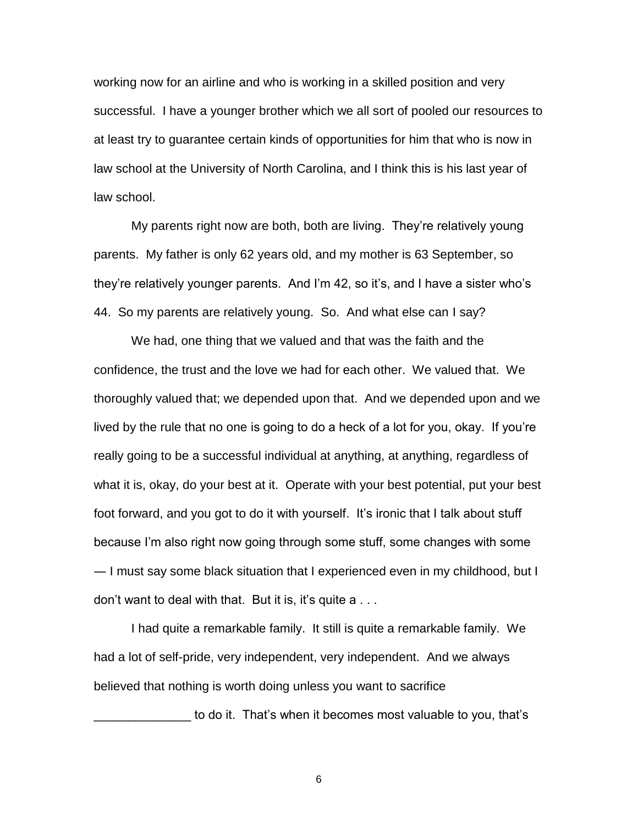working now for an airline and who is working in a skilled position and very successful. I have a younger brother which we all sort of pooled our resources to at least try to guarantee certain kinds of opportunities for him that who is now in law school at the University of North Carolina, and I think this is his last year of law school.

My parents right now are both, both are living. They"re relatively young parents. My father is only 62 years old, and my mother is 63 September, so they"re relatively younger parents. And I"m 42, so it"s, and I have a sister who"s 44. So my parents are relatively young. So. And what else can I say?

We had, one thing that we valued and that was the faith and the confidence, the trust and the love we had for each other. We valued that. We thoroughly valued that; we depended upon that. And we depended upon and we lived by the rule that no one is going to do a heck of a lot for you, okay. If you"re really going to be a successful individual at anything, at anything, regardless of what it is, okay, do your best at it. Operate with your best potential, put your best foot forward, and you got to do it with yourself. It"s ironic that I talk about stuff because I"m also right now going through some stuff, some changes with some ― I must say some black situation that I experienced even in my childhood, but I don't want to deal with that. But it is, it's quite  $a \ldots$ 

I had quite a remarkable family. It still is quite a remarkable family. We had a lot of self-pride, very independent, very independent. And we always believed that nothing is worth doing unless you want to sacrifice

to do it. That's when it becomes most valuable to you, that's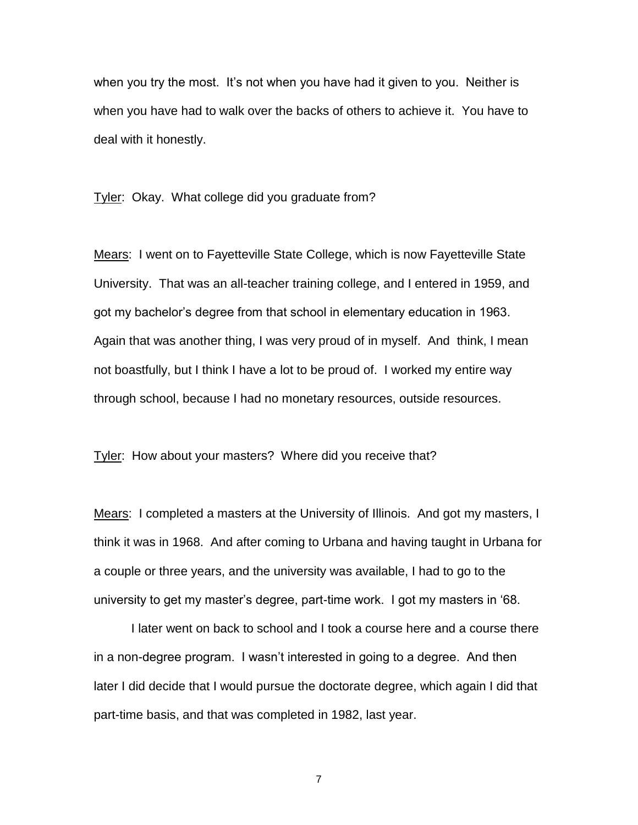when you try the most. It's not when you have had it given to you. Neither is when you have had to walk over the backs of others to achieve it. You have to deal with it honestly.

Tyler: Okay. What college did you graduate from?

Mears: I went on to Fayetteville State College, which is now Fayetteville State University. That was an all-teacher training college, and I entered in 1959, and got my bachelor"s degree from that school in elementary education in 1963. Again that was another thing, I was very proud of in myself. And think, I mean not boastfully, but I think I have a lot to be proud of. I worked my entire way through school, because I had no monetary resources, outside resources.

Tyler: How about your masters? Where did you receive that?

Mears: I completed a masters at the University of Illinois. And got my masters, I think it was in 1968. And after coming to Urbana and having taught in Urbana for a couple or three years, and the university was available, I had to go to the university to get my master"s degree, part-time work. I got my masters in "68.

I later went on back to school and I took a course here and a course there in a non-degree program. I wasn"t interested in going to a degree. And then later I did decide that I would pursue the doctorate degree, which again I did that part-time basis, and that was completed in 1982, last year.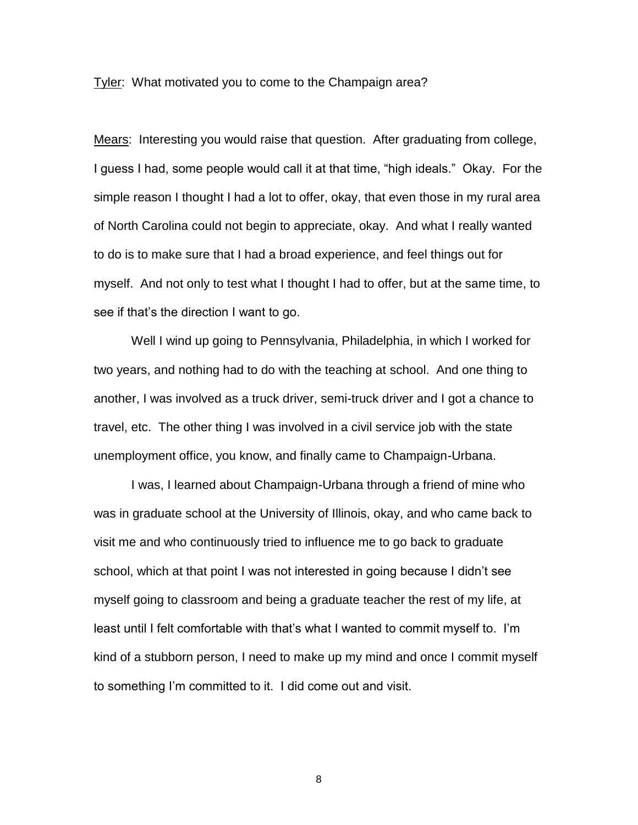Tyler: What motivated you to come to the Champaign area?

Mears: Interesting you would raise that question. After graduating from college, I guess I had, some people would call it at that time, "high ideals." Okay. For the simple reason I thought I had a lot to offer, okay, that even those in my rural area of North Carolina could not begin to appreciate, okay. And what I really wanted to do is to make sure that I had a broad experience, and feel things out for myself. And not only to test what I thought I had to offer, but at the same time, to see if that"s the direction I want to go.

Well I wind up going to Pennsylvania, Philadelphia, in which I worked for two years, and nothing had to do with the teaching at school. And one thing to another, I was involved as a truck driver, semi-truck driver and I got a chance to travel, etc. The other thing I was involved in a civil service job with the state unemployment office, you know, and finally came to Champaign-Urbana.

I was, I learned about Champaign-Urbana through a friend of mine who was in graduate school at the University of Illinois, okay, and who came back to visit me and who continuously tried to influence me to go back to graduate school, which at that point I was not interested in going because I didn"t see myself going to classroom and being a graduate teacher the rest of my life, at least until I felt comfortable with that"s what I wanted to commit myself to. I"m kind of a stubborn person, I need to make up my mind and once I commit myself to something I"m committed to it. I did come out and visit.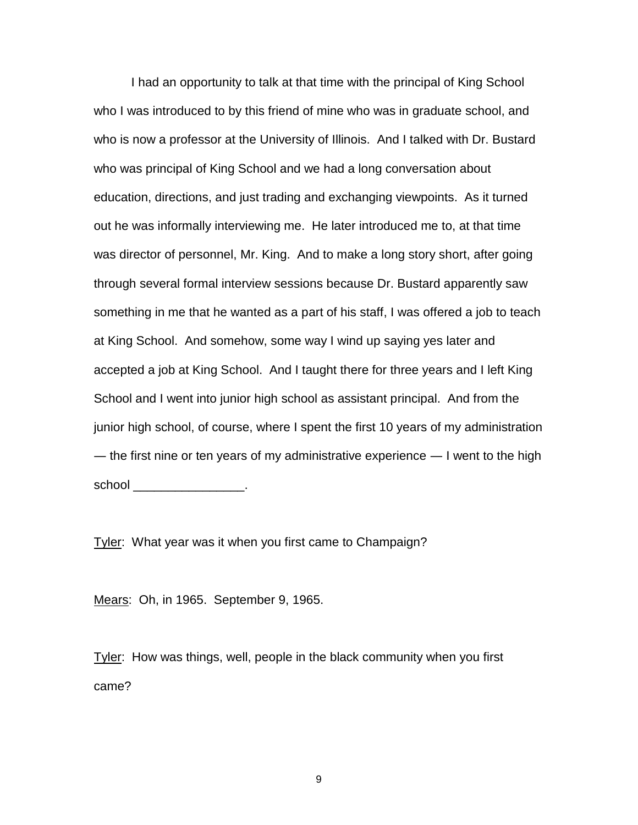I had an opportunity to talk at that time with the principal of King School who I was introduced to by this friend of mine who was in graduate school, and who is now a professor at the University of Illinois. And I talked with Dr. Bustard who was principal of King School and we had a long conversation about education, directions, and just trading and exchanging viewpoints. As it turned out he was informally interviewing me. He later introduced me to, at that time was director of personnel, Mr. King. And to make a long story short, after going through several formal interview sessions because Dr. Bustard apparently saw something in me that he wanted as a part of his staff, I was offered a job to teach at King School. And somehow, some way I wind up saying yes later and accepted a job at King School. And I taught there for three years and I left King School and I went into junior high school as assistant principal. And from the junior high school, of course, where I spent the first 10 years of my administration — the first nine or ten years of my administrative experience  $-1$  went to the high school \_\_\_\_\_\_\_\_\_\_\_\_\_\_\_\_\_\_\_.

Tyler: What year was it when you first came to Champaign?

Mears: Oh, in 1965. September 9, 1965.

Tyler: How was things, well, people in the black community when you first came?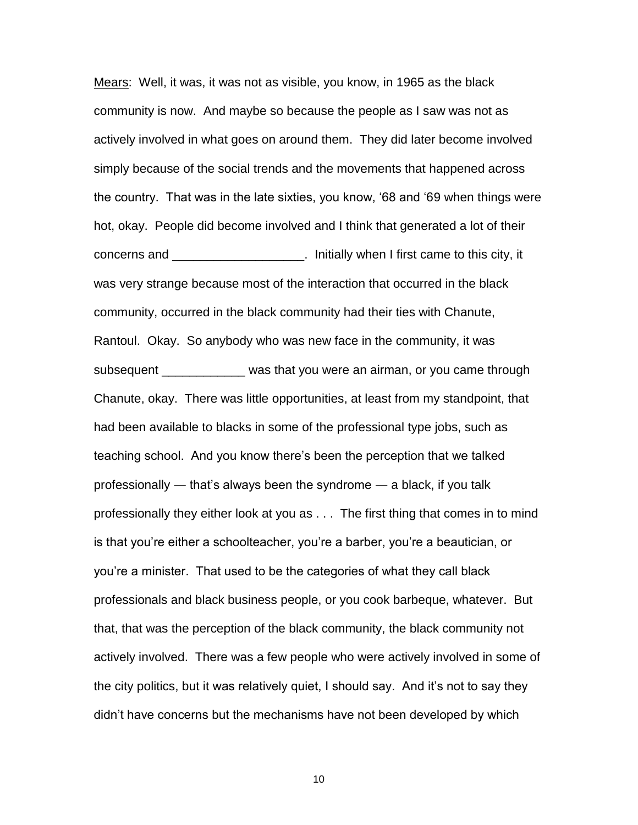Mears: Well, it was, it was not as visible, you know, in 1965 as the black community is now. And maybe so because the people as I saw was not as actively involved in what goes on around them. They did later become involved simply because of the social trends and the movements that happened across the country. That was in the late sixties, you know, "68 and "69 when things were hot, okay. People did become involved and I think that generated a lot of their concerns and \_\_\_\_\_\_\_\_\_\_\_\_\_\_\_\_\_\_\_. Initially when I first came to this city, it was very strange because most of the interaction that occurred in the black community, occurred in the black community had their ties with Chanute, Rantoul. Okay. So anybody who was new face in the community, it was subsequent was that you were an airman, or you came through Chanute, okay. There was little opportunities, at least from my standpoint, that had been available to blacks in some of the professional type jobs, such as teaching school. And you know there"s been the perception that we talked professionally ― that"s always been the syndrome ― a black, if you talk professionally they either look at you as . . . The first thing that comes in to mind is that you"re either a schoolteacher, you"re a barber, you"re a beautician, or you"re a minister. That used to be the categories of what they call black professionals and black business people, or you cook barbeque, whatever. But that, that was the perception of the black community, the black community not actively involved. There was a few people who were actively involved in some of the city politics, but it was relatively quiet, I should say. And it"s not to say they didn"t have concerns but the mechanisms have not been developed by which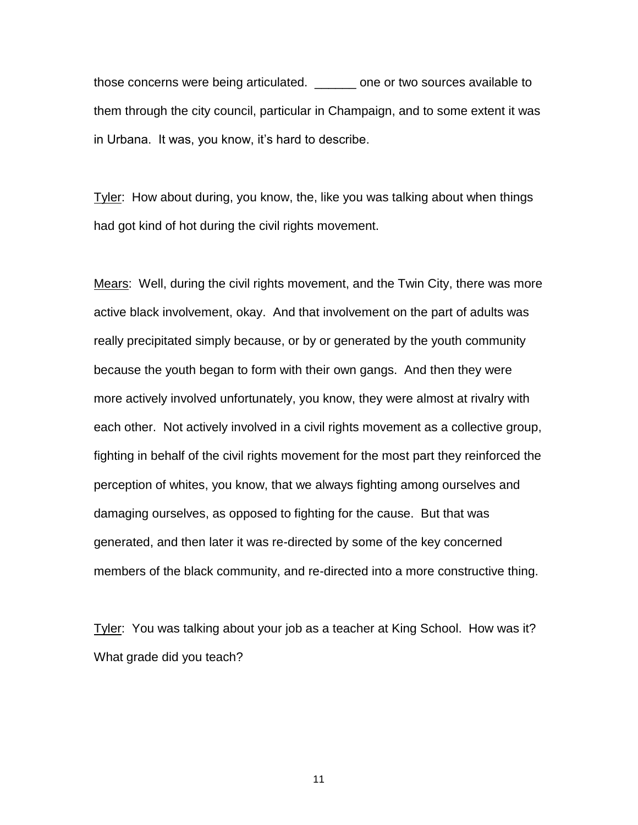those concerns were being articulated. \_\_\_\_\_\_ one or two sources available to them through the city council, particular in Champaign, and to some extent it was in Urbana. It was, you know, it"s hard to describe.

Tyler: How about during, you know, the, like you was talking about when things had got kind of hot during the civil rights movement.

Mears: Well, during the civil rights movement, and the Twin City, there was more active black involvement, okay. And that involvement on the part of adults was really precipitated simply because, or by or generated by the youth community because the youth began to form with their own gangs. And then they were more actively involved unfortunately, you know, they were almost at rivalry with each other. Not actively involved in a civil rights movement as a collective group, fighting in behalf of the civil rights movement for the most part they reinforced the perception of whites, you know, that we always fighting among ourselves and damaging ourselves, as opposed to fighting for the cause. But that was generated, and then later it was re-directed by some of the key concerned members of the black community, and re-directed into a more constructive thing.

Tyler: You was talking about your job as a teacher at King School. How was it? What grade did you teach?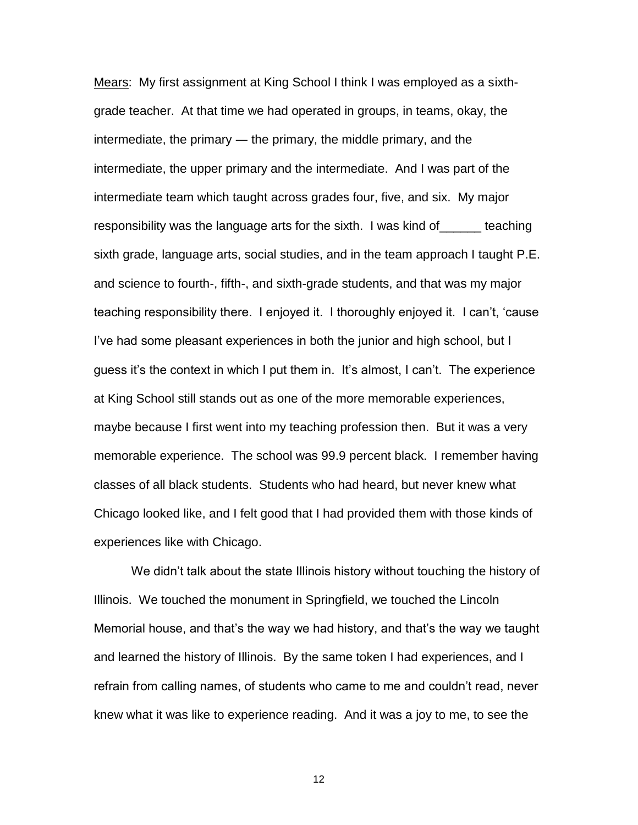Mears: My first assignment at King School I think I was employed as a sixthgrade teacher. At that time we had operated in groups, in teams, okay, the intermediate, the primary ― the primary, the middle primary, and the intermediate, the upper primary and the intermediate. And I was part of the intermediate team which taught across grades four, five, and six. My major responsibility was the language arts for the sixth. I was kind of\_\_\_\_\_\_ teaching sixth grade, language arts, social studies, and in the team approach I taught P.E. and science to fourth-, fifth-, and sixth-grade students, and that was my major teaching responsibility there. I enjoyed it. I thoroughly enjoyed it. I can"t, "cause I"ve had some pleasant experiences in both the junior and high school, but I guess it"s the context in which I put them in. It"s almost, I can"t. The experience at King School still stands out as one of the more memorable experiences, maybe because I first went into my teaching profession then. But it was a very memorable experience. The school was 99.9 percent black. I remember having classes of all black students. Students who had heard, but never knew what Chicago looked like, and I felt good that I had provided them with those kinds of experiences like with Chicago.

We didn't talk about the state Illinois history without touching the history of Illinois. We touched the monument in Springfield, we touched the Lincoln Memorial house, and that"s the way we had history, and that"s the way we taught and learned the history of Illinois. By the same token I had experiences, and I refrain from calling names, of students who came to me and couldn"t read, never knew what it was like to experience reading. And it was a joy to me, to see the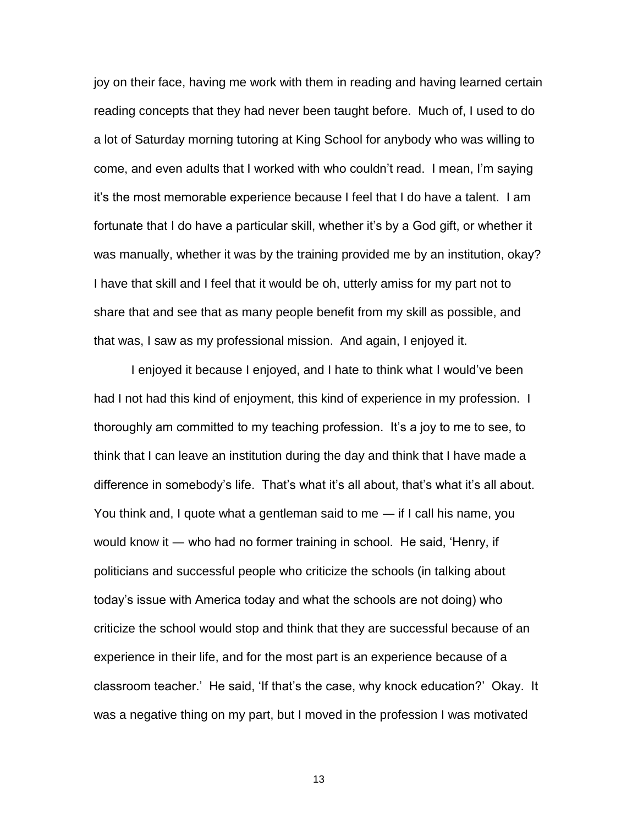joy on their face, having me work with them in reading and having learned certain reading concepts that they had never been taught before. Much of, I used to do a lot of Saturday morning tutoring at King School for anybody who was willing to come, and even adults that I worked with who couldn"t read. I mean, I"m saying it"s the most memorable experience because I feel that I do have a talent. I am fortunate that I do have a particular skill, whether it"s by a God gift, or whether it was manually, whether it was by the training provided me by an institution, okay? I have that skill and I feel that it would be oh, utterly amiss for my part not to share that and see that as many people benefit from my skill as possible, and that was, I saw as my professional mission. And again, I enjoyed it.

I enjoyed it because I enjoyed, and I hate to think what I would"ve been had I not had this kind of enjoyment, this kind of experience in my profession. I thoroughly am committed to my teaching profession. It"s a joy to me to see, to think that I can leave an institution during the day and think that I have made a difference in somebody's life. That's what it's all about, that's what it's all about. You think and, I quote what a gentleman said to me ― if I call his name, you would know it ― who had no former training in school. He said, "Henry, if politicians and successful people who criticize the schools (in talking about today"s issue with America today and what the schools are not doing) who criticize the school would stop and think that they are successful because of an experience in their life, and for the most part is an experience because of a classroom teacher." He said, "If that"s the case, why knock education?" Okay. It was a negative thing on my part, but I moved in the profession I was motivated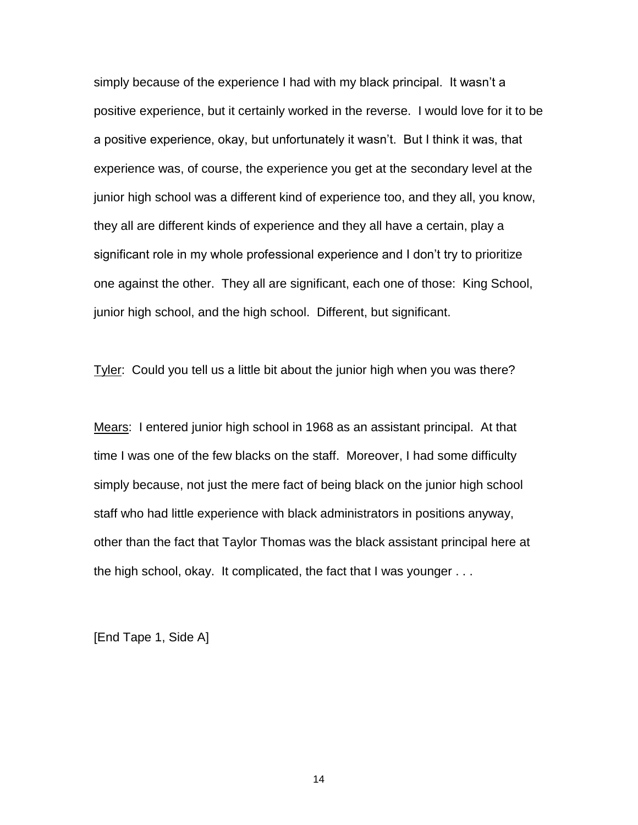simply because of the experience I had with my black principal. It wasn"t a positive experience, but it certainly worked in the reverse. I would love for it to be a positive experience, okay, but unfortunately it wasn"t. But I think it was, that experience was, of course, the experience you get at the secondary level at the junior high school was a different kind of experience too, and they all, you know, they all are different kinds of experience and they all have a certain, play a significant role in my whole professional experience and I don"t try to prioritize one against the other. They all are significant, each one of those: King School, junior high school, and the high school. Different, but significant.

Tyler: Could you tell us a little bit about the junior high when you was there?

Mears: I entered junior high school in 1968 as an assistant principal. At that time I was one of the few blacks on the staff. Moreover, I had some difficulty simply because, not just the mere fact of being black on the junior high school staff who had little experience with black administrators in positions anyway, other than the fact that Taylor Thomas was the black assistant principal here at the high school, okay. It complicated, the fact that I was younger . . .

[End Tape 1, Side A]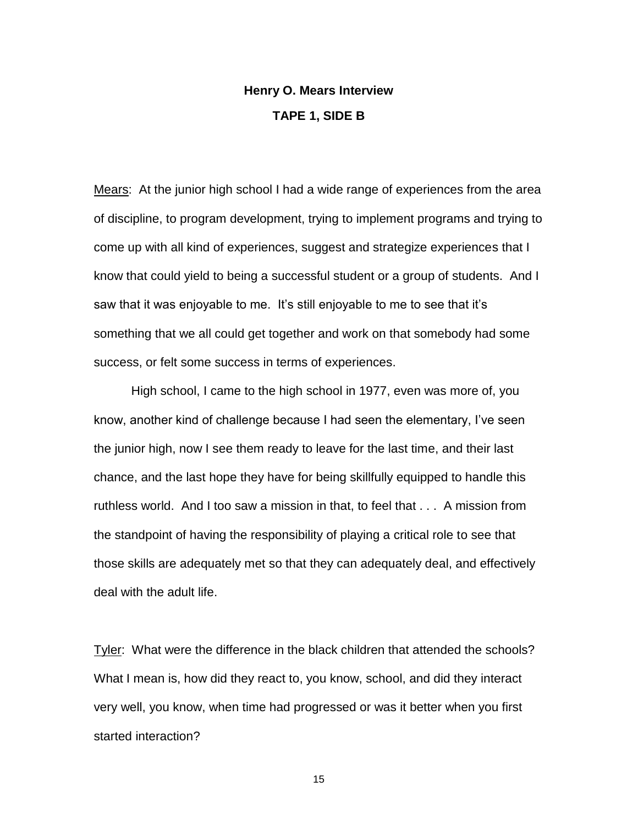## **Henry O. Mears Interview TAPE 1, SIDE B**

Mears: At the junior high school I had a wide range of experiences from the area of discipline, to program development, trying to implement programs and trying to come up with all kind of experiences, suggest and strategize experiences that I know that could yield to being a successful student or a group of students. And I saw that it was enjoyable to me. It's still enjoyable to me to see that it's something that we all could get together and work on that somebody had some success, or felt some success in terms of experiences.

High school, I came to the high school in 1977, even was more of, you know, another kind of challenge because I had seen the elementary, I"ve seen the junior high, now I see them ready to leave for the last time, and their last chance, and the last hope they have for being skillfully equipped to handle this ruthless world. And I too saw a mission in that, to feel that . . . A mission from the standpoint of having the responsibility of playing a critical role to see that those skills are adequately met so that they can adequately deal, and effectively deal with the adult life.

Tyler: What were the difference in the black children that attended the schools? What I mean is, how did they react to, you know, school, and did they interact very well, you know, when time had progressed or was it better when you first started interaction?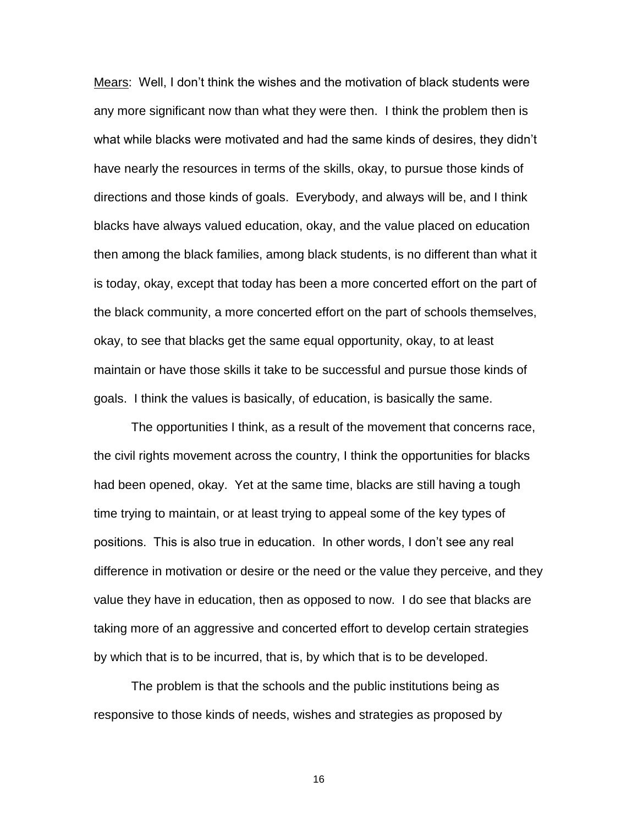Mears: Well, I don"t think the wishes and the motivation of black students were any more significant now than what they were then. I think the problem then is what while blacks were motivated and had the same kinds of desires, they didn"t have nearly the resources in terms of the skills, okay, to pursue those kinds of directions and those kinds of goals. Everybody, and always will be, and I think blacks have always valued education, okay, and the value placed on education then among the black families, among black students, is no different than what it is today, okay, except that today has been a more concerted effort on the part of the black community, a more concerted effort on the part of schools themselves, okay, to see that blacks get the same equal opportunity, okay, to at least maintain or have those skills it take to be successful and pursue those kinds of goals. I think the values is basically, of education, is basically the same.

The opportunities I think, as a result of the movement that concerns race, the civil rights movement across the country, I think the opportunities for blacks had been opened, okay. Yet at the same time, blacks are still having a tough time trying to maintain, or at least trying to appeal some of the key types of positions. This is also true in education. In other words, I don"t see any real difference in motivation or desire or the need or the value they perceive, and they value they have in education, then as opposed to now. I do see that blacks are taking more of an aggressive and concerted effort to develop certain strategies by which that is to be incurred, that is, by which that is to be developed.

The problem is that the schools and the public institutions being as responsive to those kinds of needs, wishes and strategies as proposed by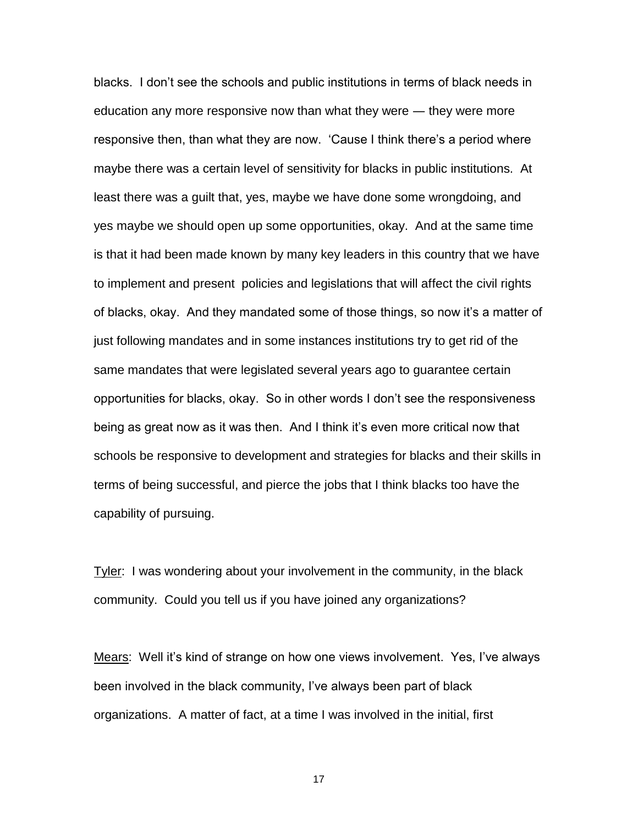blacks. I don"t see the schools and public institutions in terms of black needs in education any more responsive now than what they were ― they were more responsive then, than what they are now. "Cause I think there"s a period where maybe there was a certain level of sensitivity for blacks in public institutions. At least there was a guilt that, yes, maybe we have done some wrongdoing, and yes maybe we should open up some opportunities, okay. And at the same time is that it had been made known by many key leaders in this country that we have to implement and present policies and legislations that will affect the civil rights of blacks, okay. And they mandated some of those things, so now it"s a matter of just following mandates and in some instances institutions try to get rid of the same mandates that were legislated several years ago to guarantee certain opportunities for blacks, okay. So in other words I don"t see the responsiveness being as great now as it was then. And I think it's even more critical now that schools be responsive to development and strategies for blacks and their skills in terms of being successful, and pierce the jobs that I think blacks too have the capability of pursuing.

Tyler: I was wondering about your involvement in the community, in the black community. Could you tell us if you have joined any organizations?

Mears: Well it's kind of strange on how one views involvement. Yes, I've always been involved in the black community, I"ve always been part of black organizations. A matter of fact, at a time I was involved in the initial, first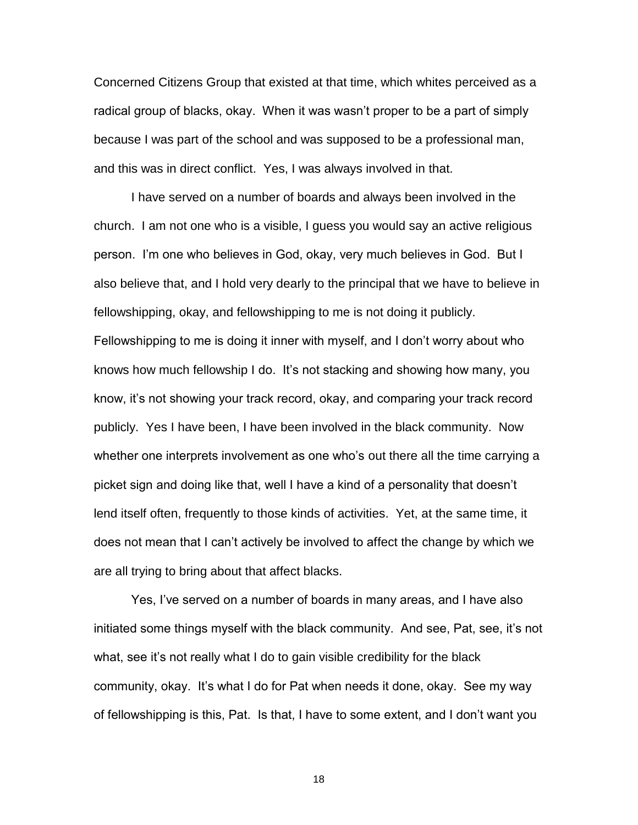Concerned Citizens Group that existed at that time, which whites perceived as a radical group of blacks, okay. When it was wasn"t proper to be a part of simply because I was part of the school and was supposed to be a professional man, and this was in direct conflict. Yes, I was always involved in that.

I have served on a number of boards and always been involved in the church. I am not one who is a visible, I guess you would say an active religious person. I"m one who believes in God, okay, very much believes in God. But I also believe that, and I hold very dearly to the principal that we have to believe in fellowshipping, okay, and fellowshipping to me is not doing it publicly. Fellowshipping to me is doing it inner with myself, and I don"t worry about who knows how much fellowship I do. It"s not stacking and showing how many, you know, it's not showing your track record, okay, and comparing your track record publicly. Yes I have been, I have been involved in the black community. Now whether one interprets involvement as one who's out there all the time carrying a picket sign and doing like that, well I have a kind of a personality that doesn"t lend itself often, frequently to those kinds of activities. Yet, at the same time, it does not mean that I can"t actively be involved to affect the change by which we are all trying to bring about that affect blacks.

Yes, I've served on a number of boards in many areas, and I have also initiated some things myself with the black community. And see, Pat, see, it's not what, see it's not really what I do to gain visible credibility for the black community, okay. It's what I do for Pat when needs it done, okay. See my way of fellowshipping is this, Pat. Is that, I have to some extent, and I don"t want you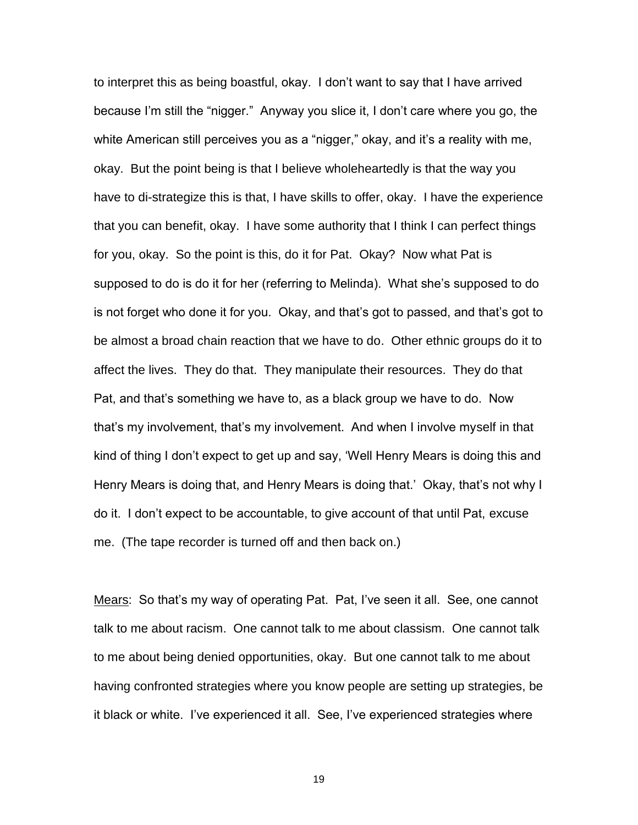to interpret this as being boastful, okay. I don"t want to say that I have arrived because I"m still the "nigger." Anyway you slice it, I don"t care where you go, the white American still perceives you as a "nigger," okay, and it's a reality with me, okay. But the point being is that I believe wholeheartedly is that the way you have to di-strategize this is that, I have skills to offer, okay. I have the experience that you can benefit, okay. I have some authority that I think I can perfect things for you, okay. So the point is this, do it for Pat. Okay? Now what Pat is supposed to do is do it for her (referring to Melinda). What she"s supposed to do is not forget who done it for you. Okay, and that"s got to passed, and that"s got to be almost a broad chain reaction that we have to do. Other ethnic groups do it to affect the lives. They do that. They manipulate their resources. They do that Pat, and that"s something we have to, as a black group we have to do. Now that"s my involvement, that"s my involvement. And when I involve myself in that kind of thing I don"t expect to get up and say, "Well Henry Mears is doing this and Henry Mears is doing that, and Henry Mears is doing that.' Okay, that's not why I do it. I don"t expect to be accountable, to give account of that until Pat, excuse me. (The tape recorder is turned off and then back on.)

Mears: So that"s my way of operating Pat. Pat, I"ve seen it all. See, one cannot talk to me about racism. One cannot talk to me about classism. One cannot talk to me about being denied opportunities, okay. But one cannot talk to me about having confronted strategies where you know people are setting up strategies, be it black or white. I've experienced it all. See, I've experienced strategies where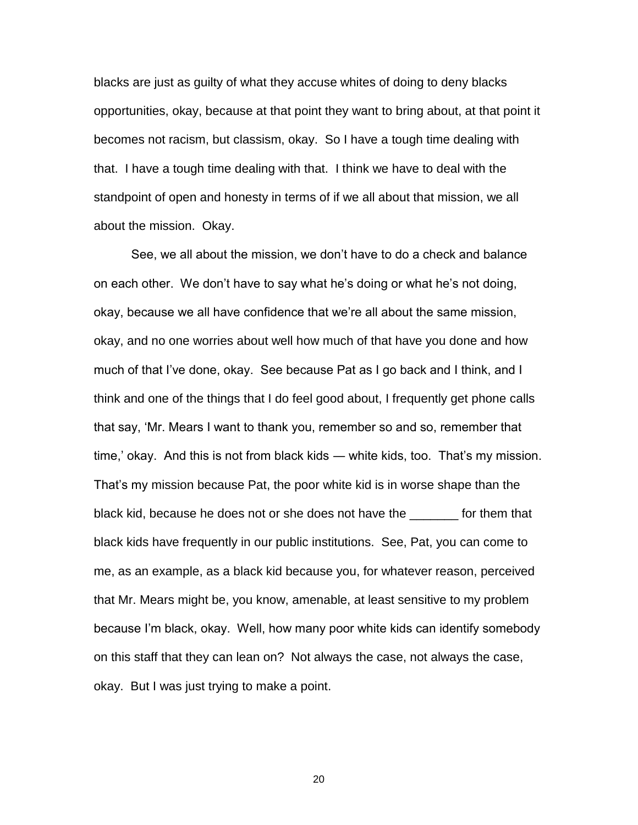blacks are just as guilty of what they accuse whites of doing to deny blacks opportunities, okay, because at that point they want to bring about, at that point it becomes not racism, but classism, okay. So I have a tough time dealing with that. I have a tough time dealing with that. I think we have to deal with the standpoint of open and honesty in terms of if we all about that mission, we all about the mission. Okay.

See, we all about the mission, we don"t have to do a check and balance on each other. We don"t have to say what he"s doing or what he"s not doing, okay, because we all have confidence that we"re all about the same mission, okay, and no one worries about well how much of that have you done and how much of that I"ve done, okay. See because Pat as I go back and I think, and I think and one of the things that I do feel good about, I frequently get phone calls that say, "Mr. Mears I want to thank you, remember so and so, remember that time,' okay. And this is not from black kids — white kids, too. That's my mission. That"s my mission because Pat, the poor white kid is in worse shape than the black kid, because he does not or she does not have the \_\_\_\_\_\_\_ for them that black kids have frequently in our public institutions. See, Pat, you can come to me, as an example, as a black kid because you, for whatever reason, perceived that Mr. Mears might be, you know, amenable, at least sensitive to my problem because I"m black, okay. Well, how many poor white kids can identify somebody on this staff that they can lean on? Not always the case, not always the case, okay. But I was just trying to make a point.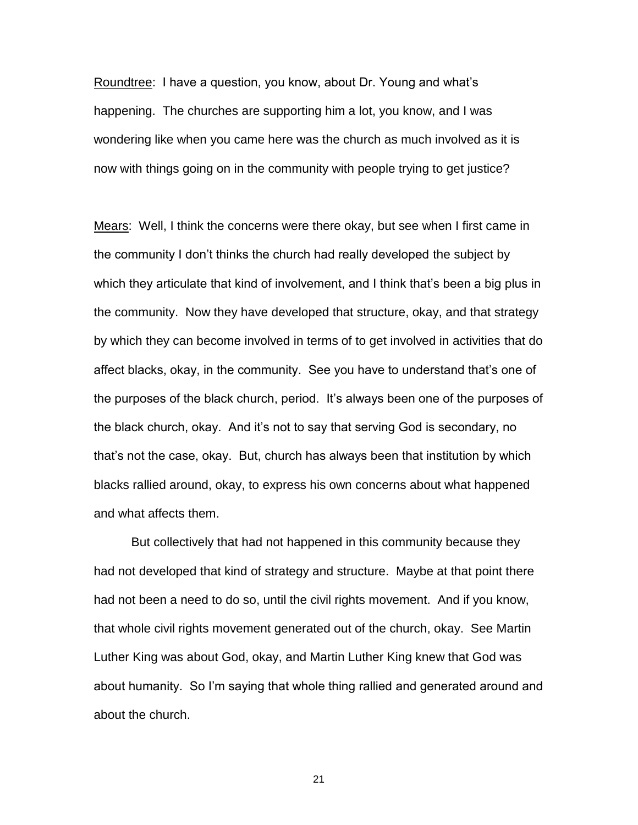Roundtree: I have a question, you know, about Dr. Young and what's happening. The churches are supporting him a lot, you know, and I was wondering like when you came here was the church as much involved as it is now with things going on in the community with people trying to get justice?

Mears: Well, I think the concerns were there okay, but see when I first came in the community I don"t thinks the church had really developed the subject by which they articulate that kind of involvement, and I think that's been a big plus in the community. Now they have developed that structure, okay, and that strategy by which they can become involved in terms of to get involved in activities that do affect blacks, okay, in the community. See you have to understand that"s one of the purposes of the black church, period. It"s always been one of the purposes of the black church, okay. And it"s not to say that serving God is secondary, no that"s not the case, okay. But, church has always been that institution by which blacks rallied around, okay, to express his own concerns about what happened and what affects them.

But collectively that had not happened in this community because they had not developed that kind of strategy and structure. Maybe at that point there had not been a need to do so, until the civil rights movement. And if you know, that whole civil rights movement generated out of the church, okay. See Martin Luther King was about God, okay, and Martin Luther King knew that God was about humanity. So I"m saying that whole thing rallied and generated around and about the church.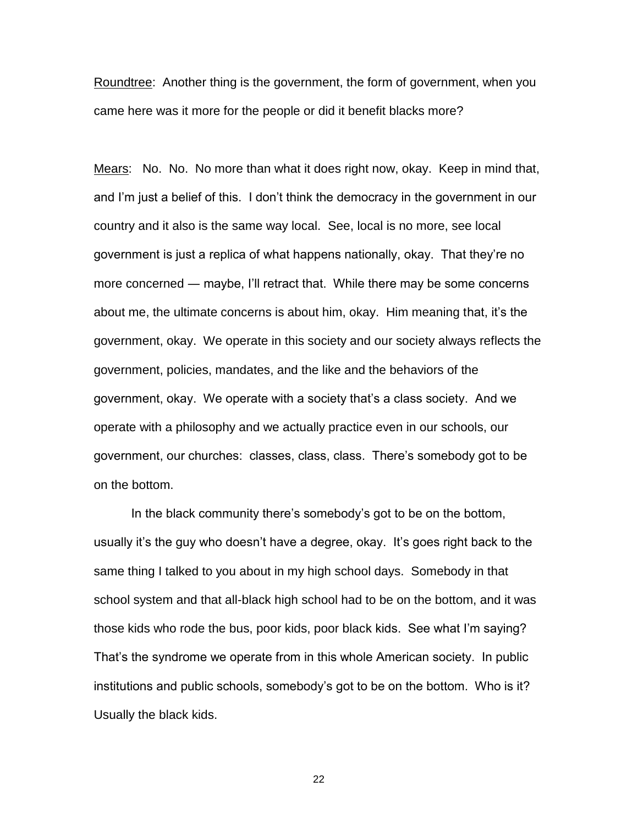Roundtree: Another thing is the government, the form of government, when you came here was it more for the people or did it benefit blacks more?

Mears: No. No. No more than what it does right now, okay. Keep in mind that, and I"m just a belief of this. I don"t think the democracy in the government in our country and it also is the same way local. See, local is no more, see local government is just a replica of what happens nationally, okay. That they"re no more concerned ― maybe, I"ll retract that. While there may be some concerns about me, the ultimate concerns is about him, okay. Him meaning that, it"s the government, okay. We operate in this society and our society always reflects the government, policies, mandates, and the like and the behaviors of the government, okay. We operate with a society that"s a class society. And we operate with a philosophy and we actually practice even in our schools, our government, our churches: classes, class, class. There"s somebody got to be on the bottom.

In the black community there"s somebody"s got to be on the bottom, usually it's the guy who doesn't have a degree, okay. It's goes right back to the same thing I talked to you about in my high school days. Somebody in that school system and that all-black high school had to be on the bottom, and it was those kids who rode the bus, poor kids, poor black kids. See what I"m saying? That"s the syndrome we operate from in this whole American society. In public institutions and public schools, somebody"s got to be on the bottom. Who is it? Usually the black kids.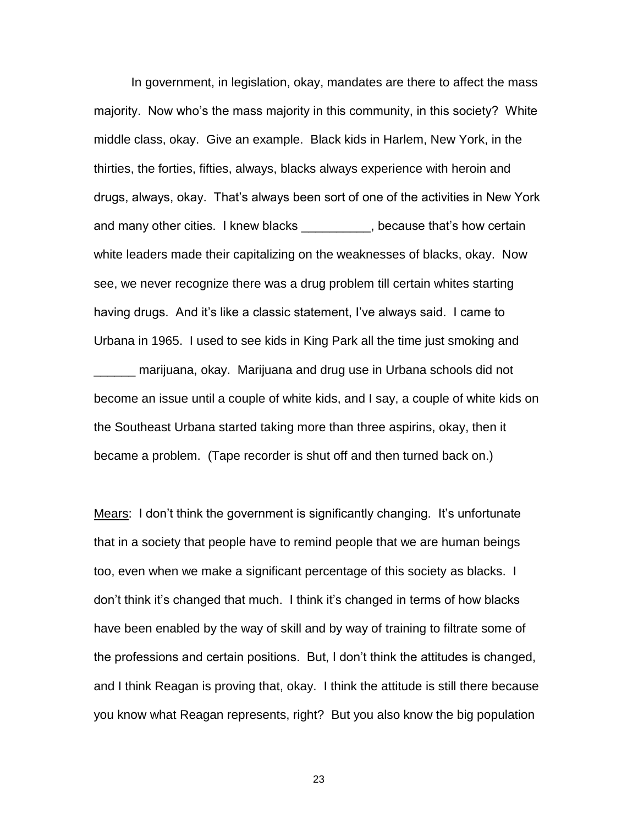In government, in legislation, okay, mandates are there to affect the mass majority. Now who's the mass majority in this community, in this society? White middle class, okay. Give an example. Black kids in Harlem, New York, in the thirties, the forties, fifties, always, blacks always experience with heroin and drugs, always, okay. That"s always been sort of one of the activities in New York and many other cities. I knew blacks \_\_\_\_\_\_\_\_\_, because that's how certain white leaders made their capitalizing on the weaknesses of blacks, okay. Now see, we never recognize there was a drug problem till certain whites starting having drugs. And it's like a classic statement, I've always said. I came to Urbana in 1965. I used to see kids in King Park all the time just smoking and \_\_\_\_\_\_ marijuana, okay. Marijuana and drug use in Urbana schools did not become an issue until a couple of white kids, and I say, a couple of white kids on the Southeast Urbana started taking more than three aspirins, okay, then it became a problem. (Tape recorder is shut off and then turned back on.)

Mears: I don"t think the government is significantly changing. It"s unfortunate that in a society that people have to remind people that we are human beings too, even when we make a significant percentage of this society as blacks. I don"t think it"s changed that much. I think it"s changed in terms of how blacks have been enabled by the way of skill and by way of training to filtrate some of the professions and certain positions. But, I don"t think the attitudes is changed, and I think Reagan is proving that, okay. I think the attitude is still there because you know what Reagan represents, right? But you also know the big population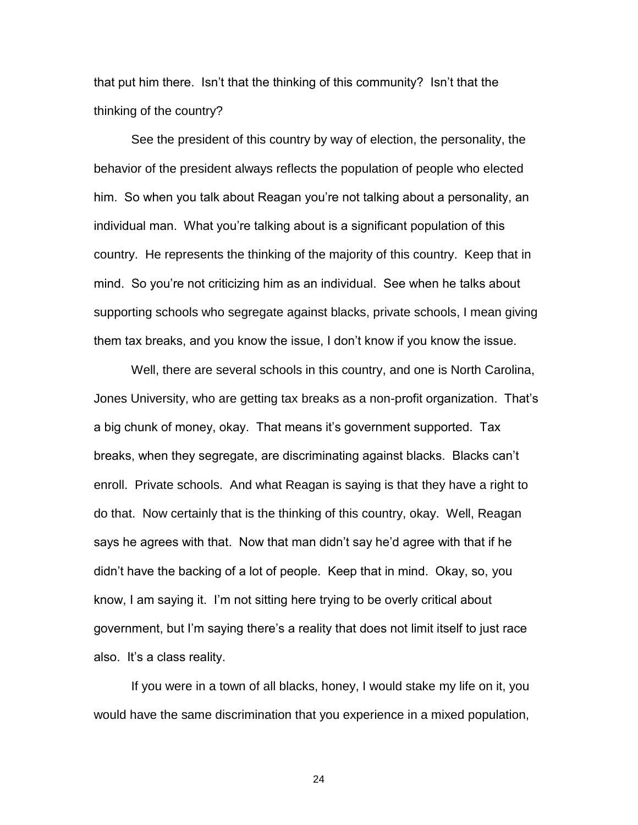that put him there. Isn"t that the thinking of this community? Isn"t that the thinking of the country?

See the president of this country by way of election, the personality, the behavior of the president always reflects the population of people who elected him. So when you talk about Reagan you"re not talking about a personality, an individual man. What you"re talking about is a significant population of this country. He represents the thinking of the majority of this country. Keep that in mind. So you"re not criticizing him as an individual. See when he talks about supporting schools who segregate against blacks, private schools, I mean giving them tax breaks, and you know the issue, I don"t know if you know the issue.

Well, there are several schools in this country, and one is North Carolina, Jones University, who are getting tax breaks as a non-profit organization. That"s a big chunk of money, okay. That means it"s government supported. Tax breaks, when they segregate, are discriminating against blacks. Blacks can"t enroll. Private schools. And what Reagan is saying is that they have a right to do that. Now certainly that is the thinking of this country, okay. Well, Reagan says he agrees with that. Now that man didn"t say he"d agree with that if he didn"t have the backing of a lot of people. Keep that in mind. Okay, so, you know, I am saying it. I"m not sitting here trying to be overly critical about government, but I"m saying there"s a reality that does not limit itself to just race also. It"s a class reality.

If you were in a town of all blacks, honey, I would stake my life on it, you would have the same discrimination that you experience in a mixed population,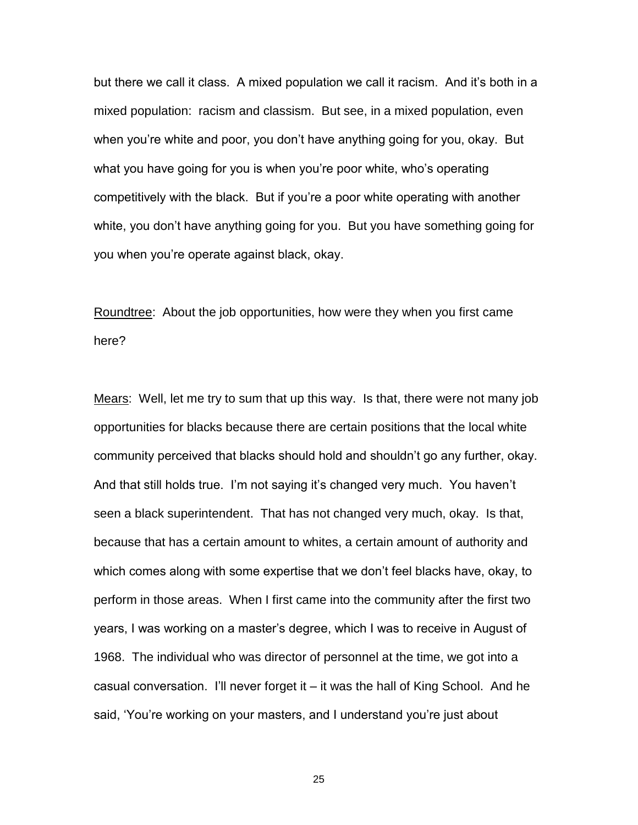but there we call it class. A mixed population we call it racism. And it's both in a mixed population: racism and classism. But see, in a mixed population, even when you"re white and poor, you don"t have anything going for you, okay. But what you have going for you is when you"re poor white, who"s operating competitively with the black. But if you"re a poor white operating with another white, you don"t have anything going for you. But you have something going for you when you"re operate against black, okay.

Roundtree: About the job opportunities, how were they when you first came here?

Mears: Well, let me try to sum that up this way. Is that, there were not many job opportunities for blacks because there are certain positions that the local white community perceived that blacks should hold and shouldn"t go any further, okay. And that still holds true. I'm not saying it's changed very much. You haven't seen a black superintendent. That has not changed very much, okay. Is that, because that has a certain amount to whites, a certain amount of authority and which comes along with some expertise that we don't feel blacks have, okay, to perform in those areas. When I first came into the community after the first two years, I was working on a master"s degree, which I was to receive in August of 1968. The individual who was director of personnel at the time, we got into a casual conversation. I"ll never forget it – it was the hall of King School. And he said, "You"re working on your masters, and I understand you"re just about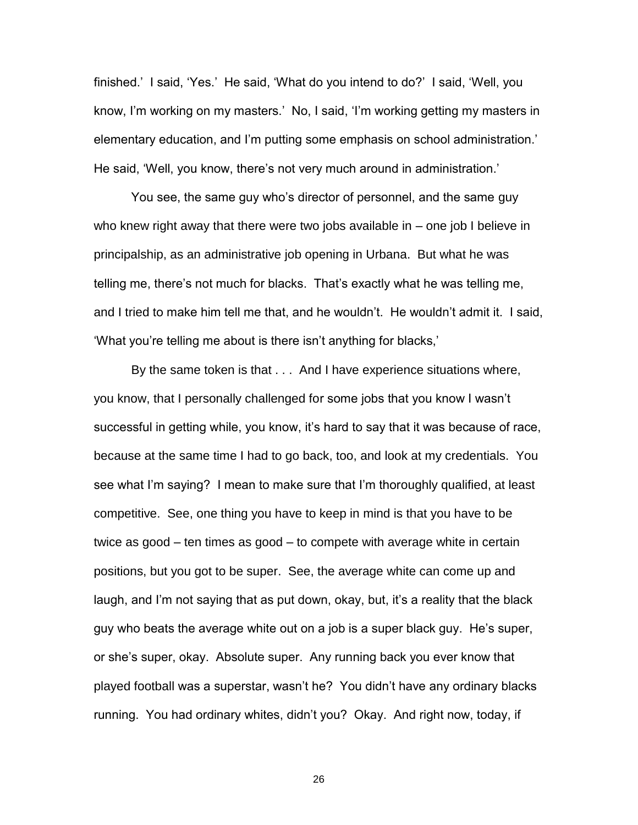finished." I said, "Yes." He said, "What do you intend to do?" I said, "Well, you know, I'm working on my masters.' No, I said, 'I'm working getting my masters in elementary education, and I'm putting some emphasis on school administration.' He said, 'Well, you know, there's not very much around in administration.'

You see, the same guy who"s director of personnel, and the same guy who knew right away that there were two jobs available in – one job I believe in principalship, as an administrative job opening in Urbana. But what he was telling me, there"s not much for blacks. That"s exactly what he was telling me, and I tried to make him tell me that, and he wouldn"t. He wouldn"t admit it. I said, "What you"re telling me about is there isn"t anything for blacks,"

By the same token is that . . . And I have experience situations where, you know, that I personally challenged for some jobs that you know I wasn"t successful in getting while, you know, it"s hard to say that it was because of race, because at the same time I had to go back, too, and look at my credentials. You see what I"m saying? I mean to make sure that I"m thoroughly qualified, at least competitive. See, one thing you have to keep in mind is that you have to be twice as good – ten times as good – to compete with average white in certain positions, but you got to be super. See, the average white can come up and laugh, and I"m not saying that as put down, okay, but, it"s a reality that the black guy who beats the average white out on a job is a super black guy. He"s super, or she"s super, okay. Absolute super. Any running back you ever know that played football was a superstar, wasn"t he? You didn"t have any ordinary blacks running. You had ordinary whites, didn"t you? Okay. And right now, today, if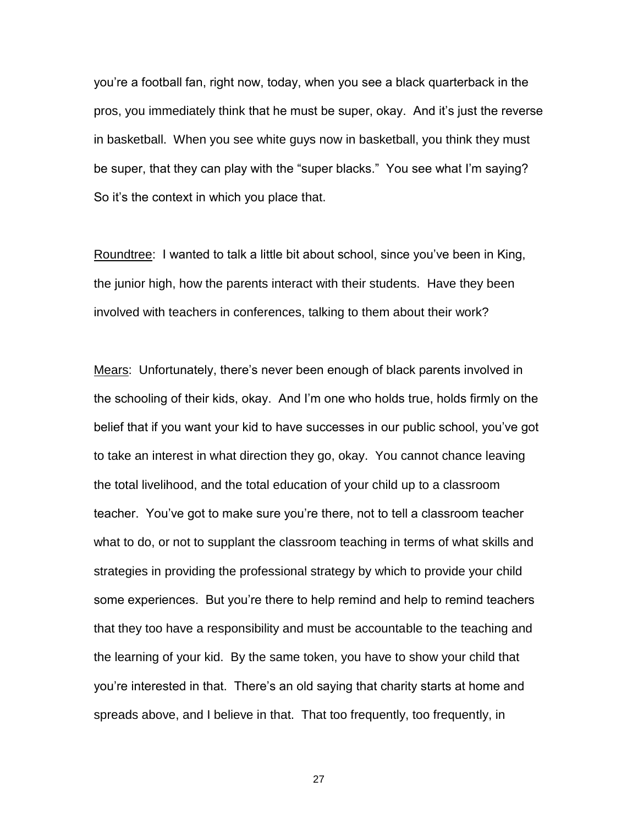you"re a football fan, right now, today, when you see a black quarterback in the pros, you immediately think that he must be super, okay. And it"s just the reverse in basketball. When you see white guys now in basketball, you think they must be super, that they can play with the "super blacks." You see what I'm saying? So it's the context in which you place that.

Roundtree: I wanted to talk a little bit about school, since you"ve been in King, the junior high, how the parents interact with their students. Have they been involved with teachers in conferences, talking to them about their work?

Mears: Unfortunately, there's never been enough of black parents involved in the schooling of their kids, okay. And I"m one who holds true, holds firmly on the belief that if you want your kid to have successes in our public school, you"ve got to take an interest in what direction they go, okay. You cannot chance leaving the total livelihood, and the total education of your child up to a classroom teacher. You"ve got to make sure you"re there, not to tell a classroom teacher what to do, or not to supplant the classroom teaching in terms of what skills and strategies in providing the professional strategy by which to provide your child some experiences. But you"re there to help remind and help to remind teachers that they too have a responsibility and must be accountable to the teaching and the learning of your kid. By the same token, you have to show your child that you"re interested in that. There"s an old saying that charity starts at home and spreads above, and I believe in that. That too frequently, too frequently, in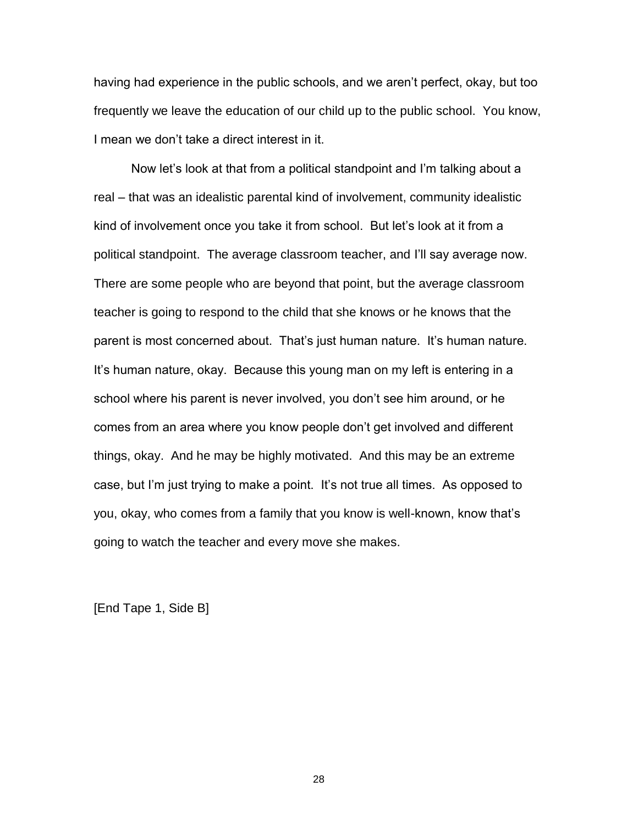having had experience in the public schools, and we aren"t perfect, okay, but too frequently we leave the education of our child up to the public school. You know, I mean we don"t take a direct interest in it.

Now let"s look at that from a political standpoint and I"m talking about a real – that was an idealistic parental kind of involvement, community idealistic kind of involvement once you take it from school. But let"s look at it from a political standpoint. The average classroom teacher, and I"ll say average now. There are some people who are beyond that point, but the average classroom teacher is going to respond to the child that she knows or he knows that the parent is most concerned about. That"s just human nature. It"s human nature. It"s human nature, okay. Because this young man on my left is entering in a school where his parent is never involved, you don"t see him around, or he comes from an area where you know people don"t get involved and different things, okay. And he may be highly motivated. And this may be an extreme case, but I"m just trying to make a point. It"s not true all times. As opposed to you, okay, who comes from a family that you know is well-known, know that"s going to watch the teacher and every move she makes.

[End Tape 1, Side B]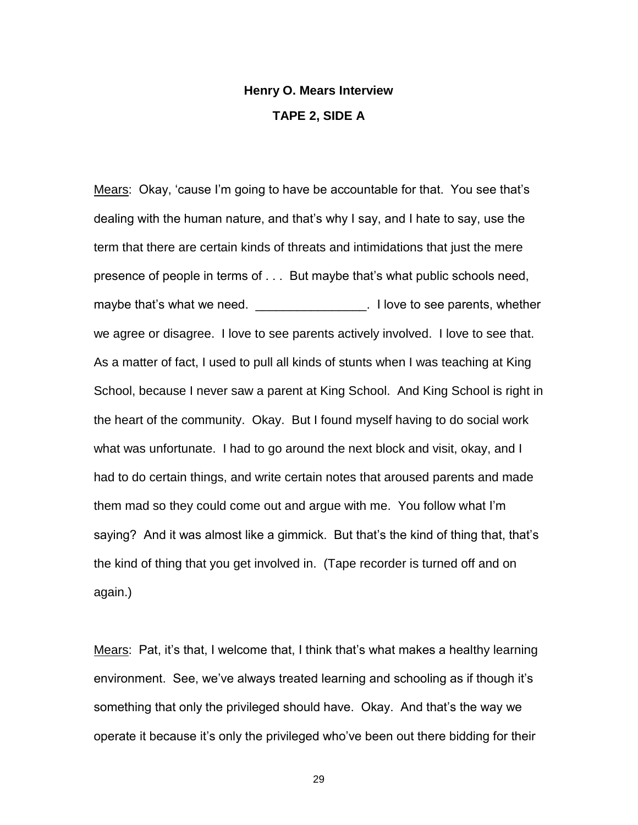## **Henry O. Mears Interview TAPE 2, SIDE A**

Mears: Okay, "cause I"m going to have be accountable for that. You see that"s dealing with the human nature, and that"s why I say, and I hate to say, use the term that there are certain kinds of threats and intimidations that just the mere presence of people in terms of . . . But maybe that"s what public schools need, maybe that's what we need. \_\_\_\_\_\_\_\_\_\_\_\_\_\_\_\_\_\_. I love to see parents, whether we agree or disagree. I love to see parents actively involved. I love to see that. As a matter of fact, I used to pull all kinds of stunts when I was teaching at King School, because I never saw a parent at King School. And King School is right in the heart of the community. Okay. But I found myself having to do social work what was unfortunate. I had to go around the next block and visit, okay, and I had to do certain things, and write certain notes that aroused parents and made them mad so they could come out and argue with me. You follow what I"m saying? And it was almost like a gimmick. But that"s the kind of thing that, that"s the kind of thing that you get involved in. (Tape recorder is turned off and on again.)

Mears: Pat, it's that, I welcome that, I think that's what makes a healthy learning environment. See, we"ve always treated learning and schooling as if though it"s something that only the privileged should have. Okay. And that's the way we operate it because it"s only the privileged who"ve been out there bidding for their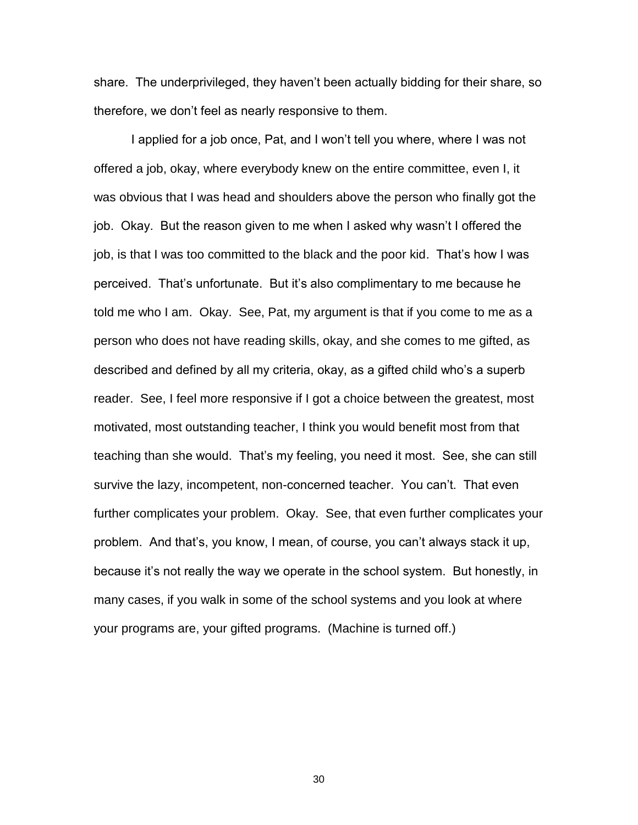share. The underprivileged, they haven"t been actually bidding for their share, so therefore, we don"t feel as nearly responsive to them.

I applied for a job once, Pat, and I won't tell you where, where I was not offered a job, okay, where everybody knew on the entire committee, even I, it was obvious that I was head and shoulders above the person who finally got the job. Okay. But the reason given to me when I asked why wasn"t I offered the job, is that I was too committed to the black and the poor kid. That"s how I was perceived. That"s unfortunate. But it"s also complimentary to me because he told me who I am. Okay. See, Pat, my argument is that if you come to me as a person who does not have reading skills, okay, and she comes to me gifted, as described and defined by all my criteria, okay, as a gifted child who"s a superb reader. See, I feel more responsive if I got a choice between the greatest, most motivated, most outstanding teacher, I think you would benefit most from that teaching than she would. That"s my feeling, you need it most. See, she can still survive the lazy, incompetent, non-concerned teacher. You can"t. That even further complicates your problem. Okay. See, that even further complicates your problem. And that"s, you know, I mean, of course, you can"t always stack it up, because it's not really the way we operate in the school system. But honestly, in many cases, if you walk in some of the school systems and you look at where your programs are, your gifted programs. (Machine is turned off.)